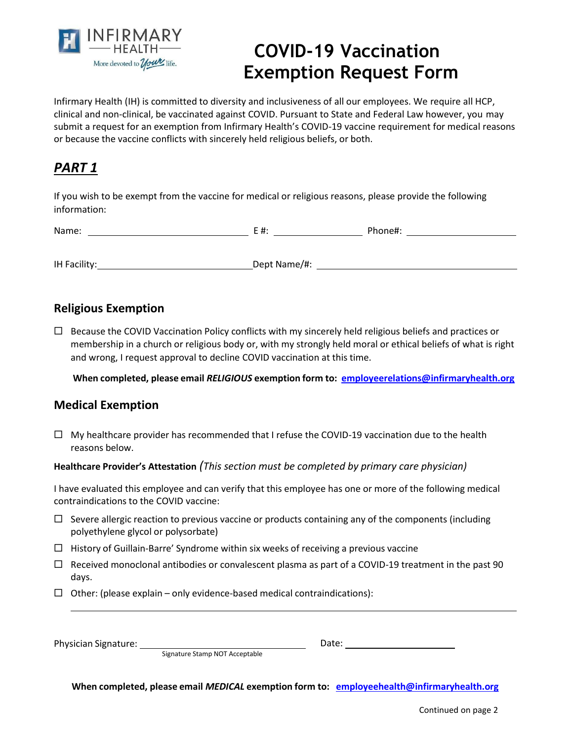

# **COVID-19 Vaccination Exemption Request Form**

Infirmary Health (IH) is committed to diversity and inclusiveness of all our employees. We require all HCP, clinical and non-clinical, be vaccinated against COVID. Pursuant to State and Federal Law however, you may submit a request for an exemption from Infirmary Health's COVID-19 vaccine requirement for medical reasons or because the vaccine conflicts with sincerely held religious beliefs, or both.

### *PART 1*

If you wish to be exempt from the vaccine for medical or religious reasons, please provide the following information:

| $\mathbf{A}$<br>N |  |
|-------------------|--|
|                   |  |
|                   |  |

IH Facility: Dept Name/#:

### **Religious Exemption**

 $\Box$  Because the COVID Vaccination Policy conflicts with my sincerely held religious beliefs and practices or membership in a church or religious body or, with my strongly held moral or ethical beliefs of what is right and wrong, I request approval to decline COVID vaccination at this time.

**When completed, please email** *RELIGIOUS* **exemption form to: [employeerelations@infirmaryhealth.org](mailto:employeerelations@infirmaryhealth.org)**

#### **Medical Exemption**

 $\Box$  My healthcare provider has recommended that I refuse the COVID-19 vaccination due to the health reasons below.

#### **Healthcare Provider's Attestation** *(This section must be completed by primary care physician)*

I have evaluated this employee and can verify that this employee has one or more of the following medical contraindications to the COVID vaccine:

- $\Box$  Severe allergic reaction to previous vaccine or products containing any of the components (including polyethylene glycol or polysorbate)
- $\Box$  History of Guillain-Barre' Syndrome within six weeks of receiving a previous vaccine
- $\Box$  Received monoclonal antibodies or convalescent plasma as part of a COVID-19 treatment in the past 90 days.
- $\Box$  Other: (please explain only evidence-based medical contraindications):

Physician Signature:

Date:

Signature Stamp NOT Acceptable

**When completed, please email** *MEDICAL* **exemption form to: [employeehealth@infirmaryhealth.org](mailto:employeehealth@infirmaryhealth.org)**